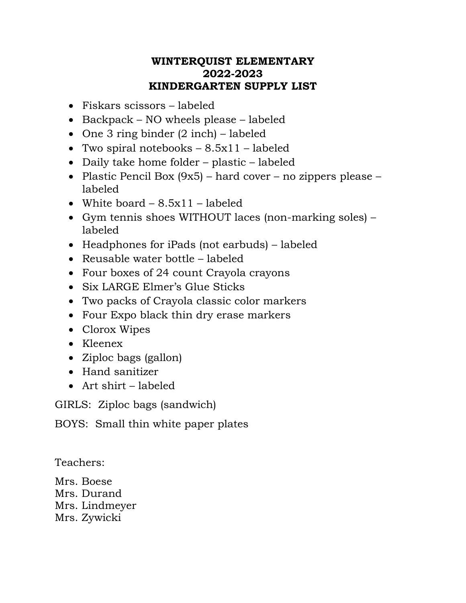### **WINTERQUIST ELEMENTARY 2022-2023 KINDERGARTEN SUPPLY LIST**

- Fiskars scissors labeled
- Backpack NO wheels please labeled
- One 3 ring binder (2 inch) labeled
- Two spiral notebooks 8.5x11 labeled
- Daily take home folder plastic labeled
- Plastic Pencil Box (9x5) hard cover no zippers please labeled
- White board  $-8.5x11 -$ labeled
- Gym tennis shoes WITHOUT laces (non-marking soles) labeled
- Headphones for iPads (not earbuds) labeled
- Reusable water bottle labeled
- Four boxes of 24 count Crayola crayons
- Six LARGE Elmer's Glue Sticks
- Two packs of Crayola classic color markers
- Four Expo black thin dry erase markers
- Clorox Wipes
- Kleenex
- Ziploc bags (gallon)
- Hand sanitizer
- Art shirt labeled

GIRLS: Ziploc bags (sandwich)

BOYS: Small thin white paper plates

Teachers:

Mrs. Boese Mrs. Durand Mrs. Lindmeyer Mrs. Zywicki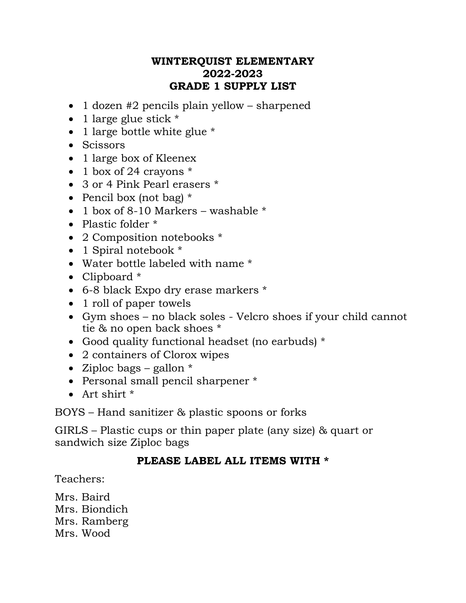### **WINTERQUIST ELEMENTARY 2022-2023 GRADE 1 SUPPLY LIST**

- 1 dozen #2 pencils plain yellow sharpened
- 1 large glue stick  $*$
- 1 large bottle white glue  $*$
- Scissors
- 1 large box of Kleenex
- 1 box of 24 crayons  $*$
- 3 or 4 Pink Pearl erasers \*
- Pencil box (not bag)  $*$
- 1 box of 8-10 Markers washable \*
- Plastic folder  $*$
- 2 Composition notebooks  $*$
- 1 Spiral notebook  $*$
- Water bottle labeled with name \*
- Clipboard \*
- 6-8 black Expo dry erase markers \*
- 1 roll of paper towels
- Gym shoes no black soles Velcro shoes if your child cannot tie & no open back shoes \*
- Good quality functional headset (no earbuds) \*
- 2 containers of Clorox wipes
- Ziploc bags gallon \*
- Personal small pencil sharpener \*
- Art shirt \*

BOYS – Hand sanitizer & plastic spoons or forks

GIRLS – Plastic cups or thin paper plate (any size) & quart or sandwich size Ziploc bags

# **PLEASE LABEL ALL ITEMS WITH \***

Teachers:

Mrs. Baird Mrs. Biondich Mrs. Ramberg Mrs. Wood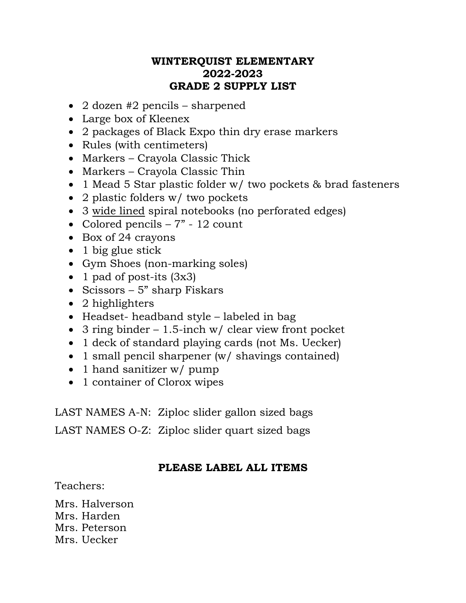### **WINTERQUIST ELEMENTARY 2022-2023 GRADE 2 SUPPLY LIST**

- 2 dozen #2 pencils sharpened
- Large box of Kleenex
- 2 packages of Black Expo thin dry erase markers
- Rules (with centimeters)
- Markers Crayola Classic Thick
- Markers Crayola Classic Thin
- 1 Mead 5 Star plastic folder w/ two pockets & brad fasteners
- 2 plastic folders w/ two pockets
- 3 wide lined spiral notebooks (no perforated edges)
- Colored pencils 7" 12 count
- Box of 24 crayons
- 1 big glue stick
- Gym Shoes (non-marking soles)
- 1 pad of post-its (3x3)
- Scissors 5" sharp Fiskars
- 2 highlighters
- Headset- headband style labeled in bag
- 3 ring binder  $-1.5$ -inch w/ clear view front pocket
- 1 deck of standard playing cards (not Ms. Uecker)
- 1 small pencil sharpener (w/ shavings contained)
- 1 hand sanitizer w/ pump
- 1 container of Clorox wipes

LAST NAMES A-N: Ziploc slider gallon sized bags

LAST NAMES O-Z: Ziploc slider quart sized bags

# **PLEASE LABEL ALL ITEMS**

# Teachers:

Mrs. Halverson Mrs. Harden Mrs. Peterson Mrs. Uecker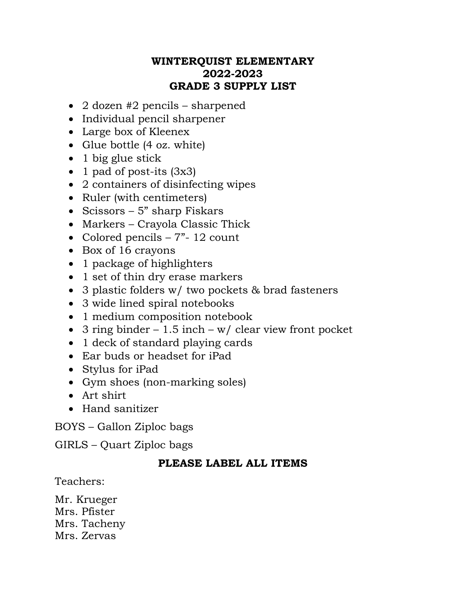### **WINTERQUIST ELEMENTARY 2022-2023 GRADE 3 SUPPLY LIST**

- 2 dozen #2 pencils sharpened
- Individual pencil sharpener
- Large box of Kleenex
- Glue bottle (4 oz. white)
- 1 big glue stick
- 1 pad of post-its (3x3)
- 2 containers of disinfecting wipes
- Ruler (with centimeters)
- Scissors 5" sharp Fiskars
- Markers Crayola Classic Thick
- Colored pencils 7"- 12 count
- Box of 16 crayons
- 1 package of highlighters
- 1 set of thin dry erase markers
- 3 plastic folders w/ two pockets & brad fasteners
- 3 wide lined spiral notebooks
- 1 medium composition notebook
- 3 ring binder 1.5 inch  $w/$  clear view front pocket
- 1 deck of standard playing cards
- Ear buds or headset for iPad
- Stylus for iPad
- Gym shoes (non-marking soles)
- Art shirt
- Hand sanitizer

BOYS – Gallon Ziploc bags

GIRLS – Quart Ziploc bags

## **PLEASE LABEL ALL ITEMS**

Teachers:

Mr. Krueger Mrs. Pfister Mrs. Tacheny Mrs. Zervas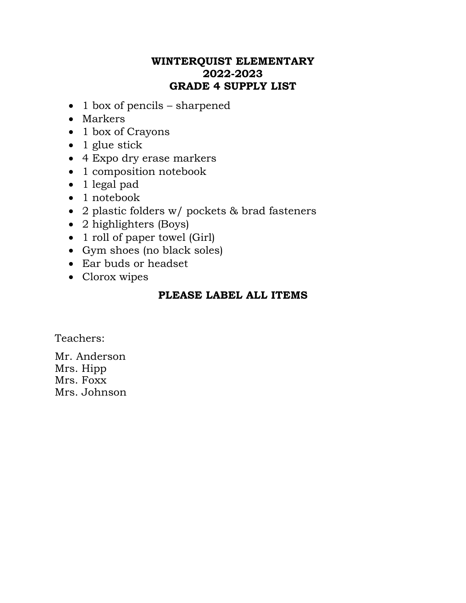### **WINTERQUIST ELEMENTARY 2022-2023 GRADE 4 SUPPLY LIST**

- 1 box of pencils sharpened
- Markers
- 1 box of Crayons
- 1 glue stick
- 4 Expo dry erase markers
- 1 composition notebook
- 1 legal pad
- 1 notebook
- 2 plastic folders w/ pockets & brad fasteners
- 2 highlighters (Boys)
- 1 roll of paper towel (Girl)
- Gym shoes (no black soles)
- Ear buds or headset
- Clorox wipes

### **PLEASE LABEL ALL ITEMS**

Teachers:

Mr. Anderson Mrs. Hipp Mrs. Foxx Mrs. Johnson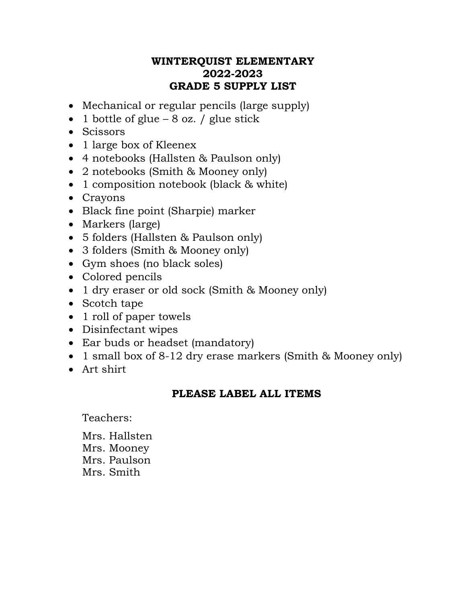#### **WINTERQUIST ELEMENTARY 2022-2023 GRADE 5 SUPPLY LIST**

- Mechanical or regular pencils (large supply)
- 1 bottle of glue 8 oz. / glue stick
- Scissors
- 1 large box of Kleenex
- 4 notebooks (Hallsten & Paulson only)
- 2 notebooks (Smith & Mooney only)
- 1 composition notebook (black & white)
- Crayons
- Black fine point (Sharpie) marker
- Markers (large)
- 5 folders (Hallsten & Paulson only)
- 3 folders (Smith & Mooney only)
- Gym shoes (no black soles)
- Colored pencils
- 1 dry eraser or old sock (Smith & Mooney only)
- Scotch tape
- 1 roll of paper towels
- Disinfectant wipes
- Ear buds or headset (mandatory)
- 1 small box of 8-12 dry erase markers (Smith & Mooney only)
- Art shirt

## **PLEASE LABEL ALL ITEMS**

Teachers:

Mrs. Hallsten Mrs. Mooney Mrs. Paulson Mrs. Smith